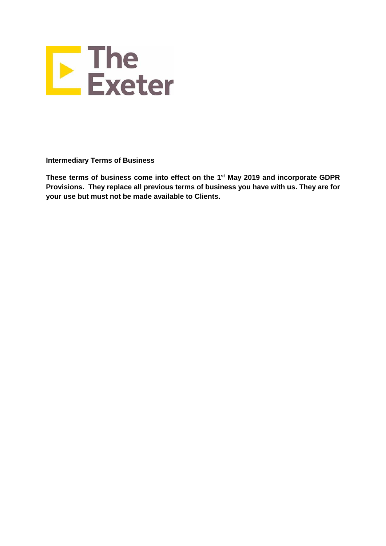

**Intermediary Terms of Business**

**These terms of business come into effect on the 1 st May 2019 and incorporate GDPR Provisions. They replace all previous terms of business you have with us. They are for your use but must not be made available to Clients.**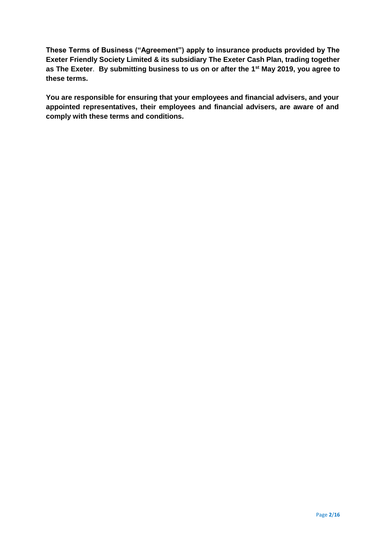**These Terms of Business ("Agreement") apply to insurance products provided by The Exeter Friendly Society Limited & its subsidiary The Exeter Cash Plan, trading together as The Exeter**. **By submitting business to us on or after the 1 st May 2019, you agree to these terms.**

**You are responsible for ensuring that your employees and financial advisers, and your appointed representatives, their employees and financial advisers, are aware of and comply with these terms and conditions.**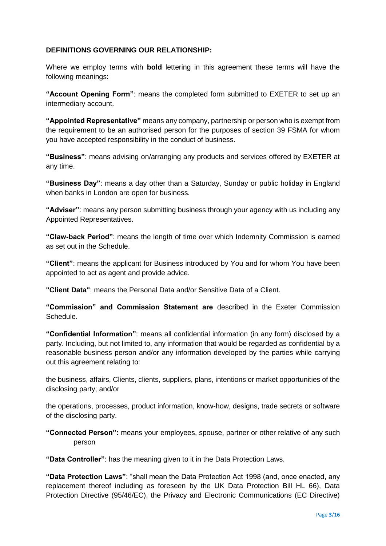## **DEFINITIONS GOVERNING OUR RELATIONSHIP:**

Where we employ terms with **bold** lettering in this agreement these terms will have the following meanings:

**"Account Opening Form"**: means the completed form submitted to EXETER to set up an intermediary account.

**"Appointed Representative"** means any company, partnership or person who is exempt from the requirement to be an authorised person for the purposes of section 39 FSMA for whom you have accepted responsibility in the conduct of business.

**"Business"**: means advising on/arranging any products and services offered by EXETER at any time.

**"Business Day"**: means a day other than a Saturday, Sunday or public holiday in England when banks in London are open for business.

**"Adviser"**: means any person submitting business through your agency with us including any Appointed Representatives.

**"Claw-back Period"**: means the length of time over which Indemnity Commission is earned as set out in the Schedule.

**"Client"**: means the applicant for Business introduced by You and for whom You have been appointed to act as agent and provide advice.

**"Client Data"**: means the Personal Data and/or Sensitive Data of a Client.

**"Commission" and Commission Statement are** described in the Exeter Commission Schedule.

**"Confidential Information"**: means all confidential information (in any form) disclosed by a party. Including, but not limited to, any information that would be regarded as confidential by a reasonable business person and/or any information developed by the parties while carrying out this agreement relating to:

the business, affairs, Clients, clients, suppliers, plans, intentions or market opportunities of the disclosing party; and/or

the operations, processes, product information, know-how, designs, trade secrets or software of the disclosing party.

**"Connected Person":** means your employees, spouse, partner or other relative of any such person

**"Data Controller"**: has the meaning given to it in the Data Protection Laws.

**"Data Protection Laws"**: "shall mean the Data Protection Act 1998 (and, once enacted, any replacement thereof including as foreseen by the UK Data Protection Bill HL 66), Data Protection Directive (95/46/EC), the Privacy and Electronic Communications (EC Directive)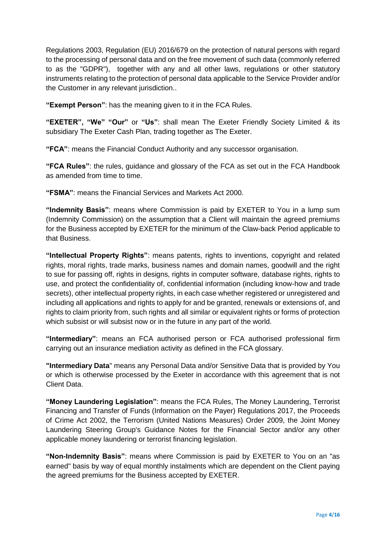Regulations 2003, Regulation (EU) 2016/679 on the protection of natural persons with regard to the processing of personal data and on the free movement of such data (commonly referred to as the "GDPR"), together with any and all other laws, regulations or other statutory instruments relating to the protection of personal data applicable to the Service Provider and/or the Customer in any relevant jurisdiction..

**"Exempt Person"**: has the meaning given to it in the FCA Rules.

**"EXETER", "We" "Our"** or **"Us"**: shall mean The Exeter Friendly Society Limited & its subsidiary The Exeter Cash Plan, trading together as The Exeter.

**"FCA"**: means the Financial Conduct Authority and any successor organisation.

**"FCA Rules"**: the rules, guidance and glossary of the FCA as set out in the FCA Handbook as amended from time to time.

**"FSMA"**: means the Financial Services and Markets Act 2000.

**"Indemnity Basis"**: means where Commission is paid by EXETER to You in a lump sum (Indemnity Commission) on the assumption that a Client will maintain the agreed premiums for the Business accepted by EXETER for the minimum of the Claw-back Period applicable to that Business.

**"Intellectual Property Rights"**: means patents, rights to inventions, copyright and related rights, moral rights, trade marks, business names and domain names, goodwill and the right to sue for passing off, rights in designs, rights in computer software, database rights, rights to use, and protect the confidentiality of, confidential information (including know-how and trade secrets), other intellectual property rights, in each case whether registered or unregistered and including all applications and rights to apply for and be granted, renewals or extensions of, and rights to claim priority from, such rights and all similar or equivalent rights or forms of protection which subsist or will subsist now or in the future in any part of the world.

**"Intermediary"**: means an FCA authorised person or FCA authorised professional firm carrying out an insurance mediation activity as defined in the FCA glossary.

**"Intermediary Data**" means any Personal Data and/or Sensitive Data that is provided by You or which is otherwise processed by the Exeter in accordance with this agreement that is not Client Data.

**"Money Laundering Legislation"**: means the FCA Rules, The Money Laundering, Terrorist Financing and Transfer of Funds (Information on the Payer) Regulations 2017, the Proceeds of Crime Act 2002, the Terrorism (United Nations Measures) Order 2009, the Joint Money Laundering Steering Group's Guidance Notes for the Financial Sector and/or any other applicable money laundering or terrorist financing legislation.

**"Non-Indemnity Basis"**: means where Commission is paid by EXETER to You on an "as earned" basis by way of equal monthly instalments which are dependent on the Client paying the agreed premiums for the Business accepted by EXETER.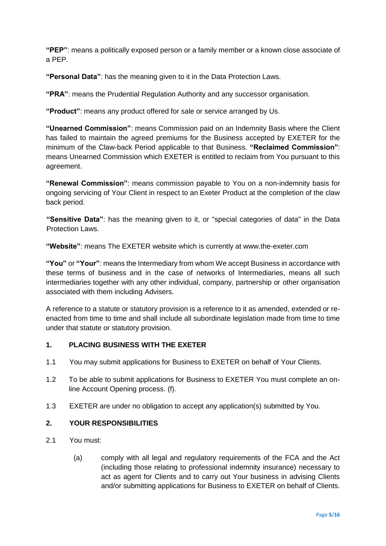**"PEP"**: means a politically exposed person or a family member or a known close associate of a PEP.

**"Personal Data"**: has the meaning given to it in the Data Protection Laws.

**"PRA"**: means the Prudential Regulation Authority and any successor organisation.

**"Product"**: means any product offered for sale or service arranged by Us.

**"Unearned Commission"**: means Commission paid on an Indemnity Basis where the Client has failed to maintain the agreed premiums for the Business accepted by EXETER for the minimum of the Claw-back Period applicable to that Business. **"Reclaimed Commission"**: means Unearned Commission which EXETER is entitled to reclaim from You pursuant to this agreement.

**"Renewal Commission"**: means commission payable to You on a non-indemnity basis for ongoing servicing of Your Client in respect to an Exeter Product at the completion of the claw back period.

**"Sensitive Data"**: has the meaning given to it, or "special categories of data" in the Data Protection Laws.

**"Website"**: means The EXETER website which is currently at www.the-exeter.com

**"You"** or **"Your"**: means the Intermediary from whom We accept Business in accordance with these terms of business and in the case of networks of Intermediaries, means all such intermediaries together with any other individual, company, partnership or other organisation associated with them including Advisers.

A reference to a statute or statutory provision is a reference to it as amended, extended or reenacted from time to time and shall include all subordinate legislation made from time to time under that statute or statutory provision.

## **1. PLACING BUSINESS WITH THE EXETER**

- 1.1 You may submit applications for Business to EXETER on behalf of Your Clients.
- 1.2 To be able to submit applications for Business to EXETER You must complete an online Account Opening process. (f).
- 1.3 EXETER are under no obligation to accept any application(s) submitted by You.

## **2. YOUR RESPONSIBILITIES**

- 2.1 You must:
	- (a) comply with all legal and regulatory requirements of the FCA and the Act (including those relating to professional indemnity insurance) necessary to act as agent for Clients and to carry out Your business in advising Clients and/or submitting applications for Business to EXETER on behalf of Clients.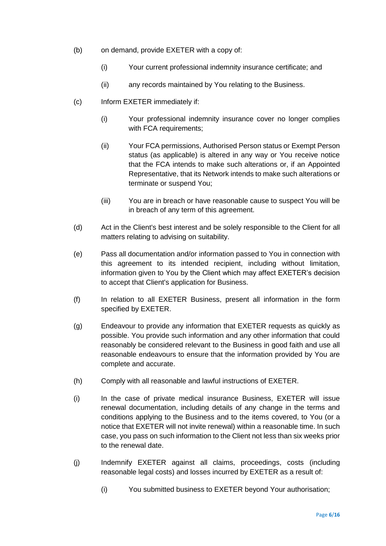- (b) on demand, provide EXETER with a copy of:
	- (i) Your current professional indemnity insurance certificate; and
	- (ii) any records maintained by You relating to the Business.
- (c) Inform EXETER immediately if:
	- (i) Your professional indemnity insurance cover no longer complies with FCA requirements;
	- (ii) Your FCA permissions, Authorised Person status or Exempt Person status (as applicable) is altered in any way or You receive notice that the FCA intends to make such alterations or, if an Appointed Representative, that its Network intends to make such alterations or terminate or suspend You;
	- (iii) You are in breach or have reasonable cause to suspect You will be in breach of any term of this agreement.
- (d) Act in the Client's best interest and be solely responsible to the Client for all matters relating to advising on suitability.
- (e) Pass all documentation and/or information passed to You in connection with this agreement to its intended recipient, including without limitation, information given to You by the Client which may affect EXETER's decision to accept that Client's application for Business.
- (f) In relation to all EXETER Business, present all information in the form specified by EXETER.
- (g) Endeavour to provide any information that EXETER requests as quickly as possible. You provide such information and any other information that could reasonably be considered relevant to the Business in good faith and use all reasonable endeavours to ensure that the information provided by You are complete and accurate.
- (h) Comply with all reasonable and lawful instructions of EXETER.
- (i) In the case of private medical insurance Business, EXETER will issue renewal documentation, including details of any change in the terms and conditions applying to the Business and to the items covered, to You (or a notice that EXETER will not invite renewal) within a reasonable time. In such case, you pass on such information to the Client not less than six weeks prior to the renewal date.
- (j) Indemnify EXETER against all claims, proceedings, costs (including reasonable legal costs) and losses incurred by EXETER as a result of:
	- (i) You submitted business to EXETER beyond Your authorisation;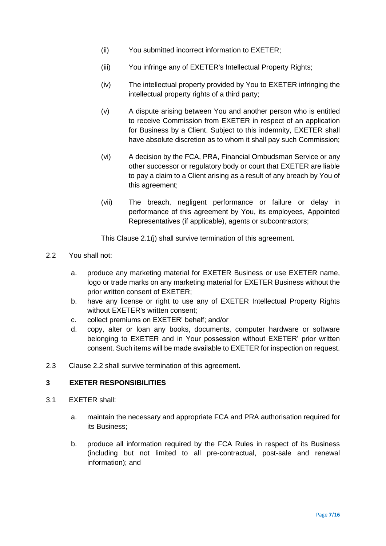- (ii) You submitted incorrect information to EXETER;
- (iii) You infringe any of EXETER's Intellectual Property Rights;
- (iv) The intellectual property provided by You to EXETER infringing the intellectual property rights of a third party;
- (v) A dispute arising between You and another person who is entitled to receive Commission from EXETER in respect of an application for Business by a Client. Subject to this indemnity, EXETER shall have absolute discretion as to whom it shall pay such Commission;
- (vi) A decision by the FCA, PRA, Financial Ombudsman Service or any other successor or regulatory body or court that EXETER are liable to pay a claim to a Client arising as a result of any breach by You of this agreement;
- (vii) The breach, negligent performance or failure or delay in performance of this agreement by You, its employees, Appointed Representatives (if applicable), agents or subcontractors;

This Clause 2.1(j) shall survive termination of this agreement.

- 2.2 You shall not:
	- a. produce any marketing material for EXETER Business or use EXETER name, logo or trade marks on any marketing material for EXETER Business without the prior written consent of EXETER;
	- b. have any license or right to use any of EXETER Intellectual Property Rights without EXETER's written consent;
	- c. collect premiums on EXETER' behalf; and/or
	- d. copy, alter or loan any books, documents, computer hardware or software belonging to EXETER and in Your possession without EXETER' prior written consent. Such items will be made available to EXETER for inspection on request.
- 2.3 Clause 2.2 shall survive termination of this agreement.

## **3 EXETER RESPONSIBILITIES**

- 3.1 EXETER shall:
	- a. maintain the necessary and appropriate FCA and PRA authorisation required for its Business;
	- b. produce all information required by the FCA Rules in respect of its Business (including but not limited to all pre-contractual, post-sale and renewal information); and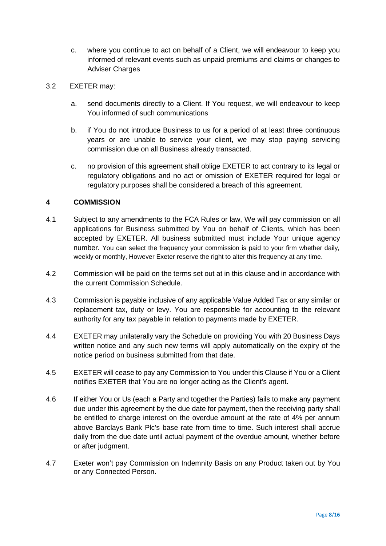- c. where you continue to act on behalf of a Client, we will endeavour to keep you informed of relevant events such as unpaid premiums and claims or changes to Adviser Charges
- 3.2 EXETER may:
	- a. send documents directly to a Client. If You request, we will endeavour to keep You informed of such communications
	- b. if You do not introduce Business to us for a period of at least three continuous years or are unable to service your client, we may stop paying servicing commission due on all Business already transacted.
	- c. no provision of this agreement shall oblige EXETER to act contrary to its legal or regulatory obligations and no act or omission of EXETER required for legal or regulatory purposes shall be considered a breach of this agreement.

## **4 COMMISSION**

- 4.1 Subject to any amendments to the FCA Rules or law, We will pay commission on all applications for Business submitted by You on behalf of Clients, which has been accepted by EXETER. All business submitted must include Your unique agency number. You can select the frequency your commission is paid to your firm whether daily, weekly or monthly, However Exeter reserve the right to alter this frequency at any time.
- 4.2 Commission will be paid on the terms set out at in this clause and in accordance with the current Commission Schedule.
- 4.3 Commission is payable inclusive of any applicable Value Added Tax or any similar or replacement tax, duty or levy. You are responsible for accounting to the relevant authority for any tax payable in relation to payments made by EXETER.
- 4.4 EXETER may unilaterally vary the Schedule on providing You with 20 Business Days written notice and any such new terms will apply automatically on the expiry of the notice period on business submitted from that date.
- 4.5 EXETER will cease to pay any Commission to You under this Clause if You or a Client notifies EXETER that You are no longer acting as the Client's agent.
- 4.6 If either You or Us (each a Party and together the Parties) fails to make any payment due under this agreement by the due date for payment, then the receiving party shall be entitled to charge interest on the overdue amount at the rate of 4% per annum above Barclays Bank Plc's base rate from time to time. Such interest shall accrue daily from the due date until actual payment of the overdue amount, whether before or after judgment.
- 4.7 Exeter won't pay Commission on Indemnity Basis on any Product taken out by You or any Connected Person**.**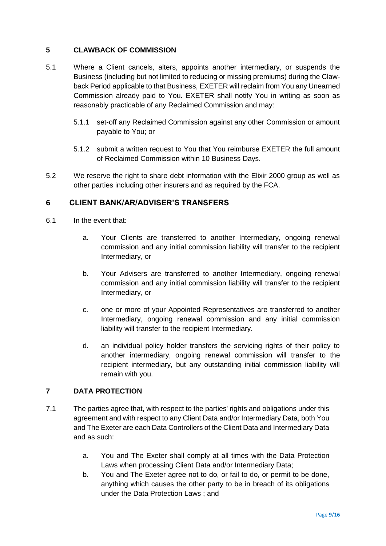# **5 CLAWBACK OF COMMISSION**

- 5.1 Where a Client cancels, alters, appoints another intermediary, or suspends the Business (including but not limited to reducing or missing premiums) during the Clawback Period applicable to that Business, EXETER will reclaim from You any Unearned Commission already paid to You. EXETER shall notify You in writing as soon as reasonably practicable of any Reclaimed Commission and may:
	- 5.1.1 set-off any Reclaimed Commission against any other Commission or amount payable to You; or
	- 5.1.2 submit a written request to You that You reimburse EXETER the full amount of Reclaimed Commission within 10 Business Days.
- 5.2 We reserve the right to share debt information with the Elixir 2000 group as well as other parties including other insurers and as required by the FCA.

# **6 CLIENT BANK/AR/ADVISER'S TRANSFERS**

- 6.1 In the event that:
	- a. Your Clients are transferred to another Intermediary, ongoing renewal commission and any initial commission liability will transfer to the recipient Intermediary, or
	- b. Your Advisers are transferred to another Intermediary, ongoing renewal commission and any initial commission liability will transfer to the recipient Intermediary, or
	- c. one or more of your Appointed Representatives are transferred to another Intermediary, ongoing renewal commission and any initial commission liability will transfer to the recipient Intermediary.
	- d. an individual policy holder transfers the servicing rights of their policy to another intermediary, ongoing renewal commission will transfer to the recipient intermediary, but any outstanding initial commission liability will remain with you.

## **7 DATA PROTECTION**

- 7.1 The parties agree that, with respect to the parties' rights and obligations under this agreement and with respect to any Client Data and/or Intermediary Data, both You and The Exeter are each Data Controllers of the Client Data and Intermediary Data and as such:
	- a. You and The Exeter shall comply at all times with the Data Protection Laws when processing Client Data and/or Intermediary Data;
	- b. You and The Exeter agree not to do, or fail to do, or permit to be done, anything which causes the other party to be in breach of its obligations under the Data Protection Laws ; and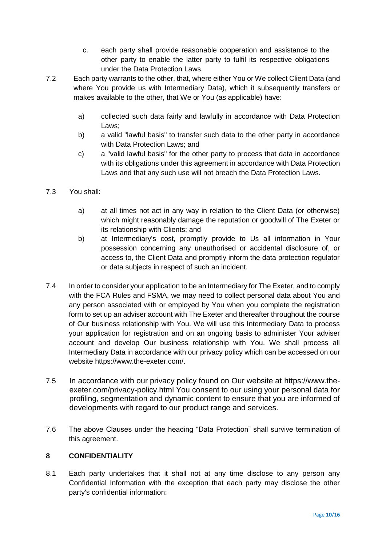- c. each party shall provide reasonable cooperation and assistance to the other party to enable the latter party to fulfil its respective obligations under the Data Protection Laws.
- 7.2 Each party warrants to the other, that, where either You or We collect Client Data (and where You provide us with Intermediary Data), which it subsequently transfers or makes available to the other, that We or You (as applicable) have:
	- a) collected such data fairly and lawfully in accordance with Data Protection Laws;
	- b) a valid "lawful basis" to transfer such data to the other party in accordance with Data Protection Laws; and
	- c) a "valid lawful basis" for the other party to process that data in accordance with its obligations under this agreement in accordance with Data Protection Laws and that any such use will not breach the Data Protection Laws.
- 7.3 You shall:
	- a) at all times not act in any way in relation to the Client Data (or otherwise) which might reasonably damage the reputation or goodwill of The Exeter or its relationship with Clients; and
	- b) at Intermediary's cost, promptly provide to Us all information in Your possession concerning any unauthorised or accidental disclosure of, or access to, the Client Data and promptly inform the data protection regulator or data subjects in respect of such an incident.
- 7.4 In order to consider your application to be an Intermediary for The Exeter, and to comply with the FCA Rules and FSMA, we may need to collect personal data about You and any person associated with or employed by You when you complete the registration form to set up an adviser account with The Exeter and thereafter throughout the course of Our business relationship with You. We will use this Intermediary Data to process your application for registration and on an ongoing basis to administer Your adviser account and develop Our business relationship with You. We shall process all Intermediary Data in accordance with our privacy policy which can be accessed on our website https://www.the-exeter.com/.
- 7.5 In accordance with our privacy policy found on Our website at [https://www.the](https://www.the-exeter.com/privacy-policy.html)[exeter.com/privacy-policy.html](https://www.the-exeter.com/privacy-policy.html) You consent to our using your personal data for profiling, segmentation and dynamic content to ensure that you are informed of developments with regard to our product range and services.
- 7.6 The above Clauses under the heading "Data Protection" shall survive termination of this agreement.

## **8 CONFIDENTIALITY**

8.1 Each party undertakes that it shall not at any time disclose to any person any Confidential Information with the exception that each party may disclose the other party's confidential information: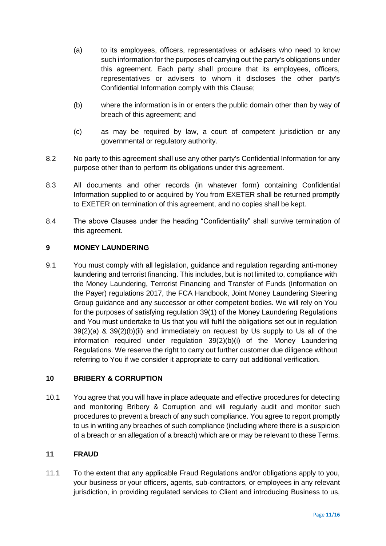- (a) to its employees, officers, representatives or advisers who need to know such information for the purposes of carrying out the party's obligations under this agreement. Each party shall procure that its employees, officers, representatives or advisers to whom it discloses the other party's Confidential Information comply with this Clause;
- (b) where the information is in or enters the public domain other than by way of breach of this agreement; and
- (c) as may be required by law, a court of competent jurisdiction or any governmental or regulatory authority.
- 8.2 No party to this agreement shall use any other party's Confidential Information for any purpose other than to perform its obligations under this agreement.
- 8.3 All documents and other records (in whatever form) containing Confidential Information supplied to or acquired by You from EXETER shall be returned promptly to EXETER on termination of this agreement, and no copies shall be kept.
- 8.4 The above Clauses under the heading "Confidentiality" shall survive termination of this agreement.

# **9 MONEY LAUNDERING**

9.1 You must comply with all legislation, guidance and regulation regarding anti-money laundering and terrorist financing. This includes, but is not limited to, compliance with the Money Laundering, Terrorist Financing and Transfer of Funds (Information on the Payer) regulations 2017, the FCA Handbook, Joint Money Laundering Steering Group guidance and any successor or other competent bodies. We will rely on You for the purposes of satisfying regulation 39(1) of the Money Laundering Regulations and You must undertake to Us that you will fulfil the obligations set out in regulation 39(2)(a) & 39(2)(b)(ii) and immediately on request by Us supply to Us all of the information required under regulation 39(2)(b)(i) of the Money Laundering Regulations. We reserve the right to carry out further customer due diligence without referring to You if we consider it appropriate to carry out additional verification.

## **10 BRIBERY & CORRUPTION**

10.1 You agree that you will have in place adequate and effective procedures for detecting and monitoring Bribery & Corruption and will regularly audit and monitor such procedures to prevent a breach of any such compliance. You agree to report promptly to us in writing any breaches of such compliance (including where there is a suspicion of a breach or an allegation of a breach) which are or may be relevant to these Terms.

## **11 FRAUD**

11.1 To the extent that any applicable Fraud Regulations and/or obligations apply to you, your business or your officers, agents, sub-contractors, or employees in any relevant jurisdiction, in providing regulated services to Client and introducing Business to us,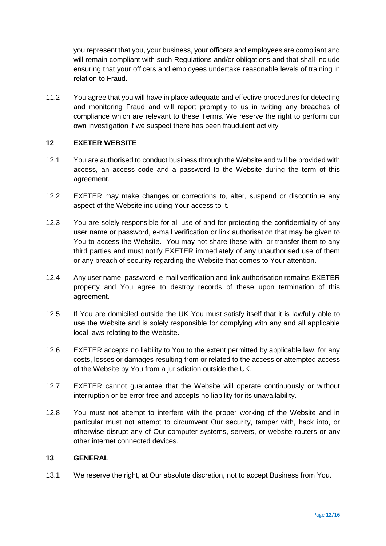you represent that you, your business, your officers and employees are compliant and will remain compliant with such Regulations and/or obligations and that shall include ensuring that your officers and employees undertake reasonable levels of training in relation to Fraud.

11.2 You agree that you will have in place adequate and effective procedures for detecting and monitoring Fraud and will report promptly to us in writing any breaches of compliance which are relevant to these Terms. We reserve the right to perform our own investigation if we suspect there has been fraudulent activity

## **12 EXETER WEBSITE**

- 12.1 You are authorised to conduct business through the Website and will be provided with access, an access code and a password to the Website during the term of this agreement.
- 12.2 EXETER may make changes or corrections to, alter, suspend or discontinue any aspect of the Website including Your access to it.
- 12.3 You are solely responsible for all use of and for protecting the confidentiality of any user name or password, e-mail verification or link authorisation that may be given to You to access the Website. You may not share these with, or transfer them to any third parties and must notify EXETER immediately of any unauthorised use of them or any breach of security regarding the Website that comes to Your attention.
- 12.4 Any user name, password, e-mail verification and link authorisation remains EXETER property and You agree to destroy records of these upon termination of this agreement.
- 12.5 If You are domiciled outside the UK You must satisfy itself that it is lawfully able to use the Website and is solely responsible for complying with any and all applicable local laws relating to the Website.
- 12.6 EXETER accepts no liability to You to the extent permitted by applicable law, for any costs, losses or damages resulting from or related to the access or attempted access of the Website by You from a jurisdiction outside the UK.
- 12.7 EXETER cannot guarantee that the Website will operate continuously or without interruption or be error free and accepts no liability for its unavailability.
- 12.8 You must not attempt to interfere with the proper working of the Website and in particular must not attempt to circumvent Our security, tamper with, hack into, or otherwise disrupt any of Our computer systems, servers, or website routers or any other internet connected devices.

### **13 GENERAL**

13.1 We reserve the right, at Our absolute discretion, not to accept Business from You.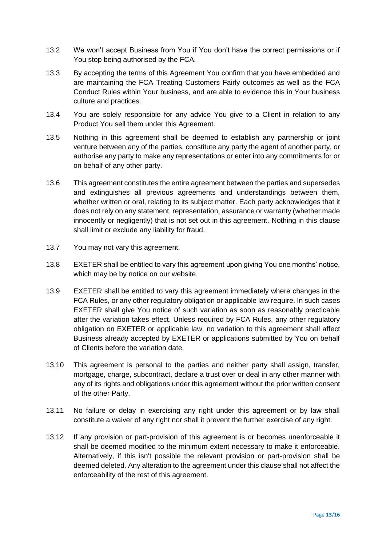- 13.2 We won't accept Business from You if You don't have the correct permissions or if You stop being authorised by the FCA.
- 13.3 By accepting the terms of this Agreement You confirm that you have embedded and are maintaining the FCA Treating Customers Fairly outcomes as well as the FCA Conduct Rules within Your business, and are able to evidence this in Your business culture and practices.
- 13.4 You are solely responsible for any advice You give to a Client in relation to any Product You sell them under this Agreement.
- 13.5 Nothing in this agreement shall be deemed to establish any partnership or joint venture between any of the parties, constitute any party the agent of another party, or authorise any party to make any representations or enter into any commitments for or on behalf of any other party.
- 13.6 This agreement constitutes the entire agreement between the parties and supersedes and extinguishes all previous agreements and understandings between them, whether written or oral, relating to its subject matter. Each party acknowledges that it does not rely on any statement, representation, assurance or warranty (whether made innocently or negligently) that is not set out in this agreement. Nothing in this clause shall limit or exclude any liability for fraud.
- 13.7 You may not vary this agreement.
- 13.8 EXETER shall be entitled to vary this agreement upon giving You one months' notice, which may be by notice on our website.
- 13.9 EXETER shall be entitled to vary this agreement immediately where changes in the FCA Rules, or any other regulatory obligation or applicable law require. In such cases EXETER shall give You notice of such variation as soon as reasonably practicable after the variation takes effect. Unless required by FCA Rules, any other regulatory obligation on EXETER or applicable law, no variation to this agreement shall affect Business already accepted by EXETER or applications submitted by You on behalf of Clients before the variation date.
- 13.10 This agreement is personal to the parties and neither party shall assign, transfer, mortgage, charge, subcontract, declare a trust over or deal in any other manner with any of its rights and obligations under this agreement without the prior written consent of the other Party.
- 13.11 No failure or delay in exercising any right under this agreement or by law shall constitute a waiver of any right nor shall it prevent the further exercise of any right.
- 13.12 If any provision or part-provision of this agreement is or becomes unenforceable it shall be deemed modified to the minimum extent necessary to make it enforceable. Alternatively, if this isn't possible the relevant provision or part-provision shall be deemed deleted. Any alteration to the agreement under this clause shall not affect the enforceability of the rest of this agreement.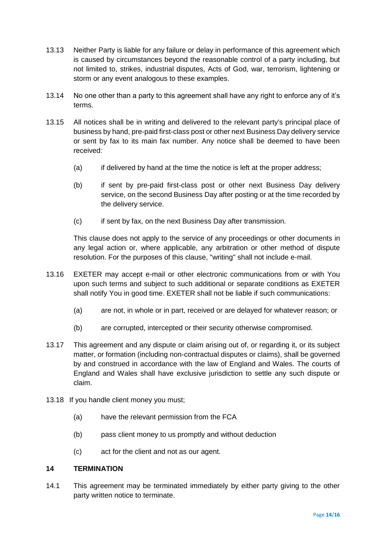- 13.13 Neither Party is liable for any failure or delay in performance of this agreement which is caused by circumstances beyond the reasonable control of a party including, but not limited to, strikes, industrial disputes, Acts of God, war, terrorism, lightening or storm or any event analogous to these examples.
- 13.14 No one other than a party to this agreement shall have any right to enforce any of it's terms.
- 13.15 All notices shall be in writing and delivered to the relevant party's principal place of business by hand, pre-paid first-class post or other next Business Day delivery service or sent by fax to its main fax number. Any notice shall be deemed to have been received:
	- (a) if delivered by hand at the time the notice is left at the proper address;
	- (b) if sent by pre-paid first-class post or other next Business Day delivery service, on the second Business Day after posting or at the time recorded by the delivery service.
	- (c) if sent by fax, on the next Business Day after transmission.

This clause does not apply to the service of any proceedings or other documents in any legal action or, where applicable, any arbitration or other method of dispute resolution. For the purposes of this clause, "writing" shall not include e-mail.

- 13.16 EXETER may accept e-mail or other electronic communications from or with You upon such terms and subject to such additional or separate conditions as EXETER shall notify You in good time. EXETER shall not be liable if such communications:
	- (a) are not, in whole or in part, received or are delayed for whatever reason; or
	- (b) are corrupted, intercepted or their security otherwise compromised.
- 13.17 This agreement and any dispute or claim arising out of, or regarding it, or its subject matter, or formation (including non-contractual disputes or claims), shall be governed by and construed in accordance with the law of England and Wales. The courts of England and Wales shall have exclusive jurisdiction to settle any such dispute or claim.
- 13.18 If you handle client money you must;
	- (a) have the relevant permission from the FCA
	- (b) pass client money to us promptly and without deduction
	- (c) act for the client and not as our agent.

## **14 TERMINATION**

14.1 This agreement may be terminated immediately by either party giving to the other party written notice to terminate.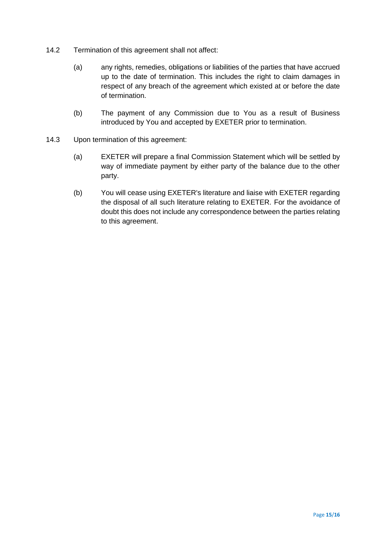- 14.2 Termination of this agreement shall not affect:
	- (a) any rights, remedies, obligations or liabilities of the parties that have accrued up to the date of termination. This includes the right to claim damages in respect of any breach of the agreement which existed at or before the date of termination.
	- (b) The payment of any Commission due to You as a result of Business introduced by You and accepted by EXETER prior to termination.
- 14.3 Upon termination of this agreement:
	- (a) EXETER will prepare a final Commission Statement which will be settled by way of immediate payment by either party of the balance due to the other party.
	- (b) You will cease using EXETER's literature and liaise with EXETER regarding the disposal of all such literature relating to EXETER. For the avoidance of doubt this does not include any correspondence between the parties relating to this agreement.